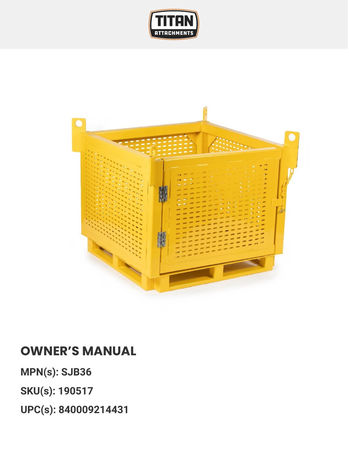



## **OWNER'S MANUAL**

**MPN(s): SJB36**

**SKU(s): 190517**

**UPC(s): 840009214431**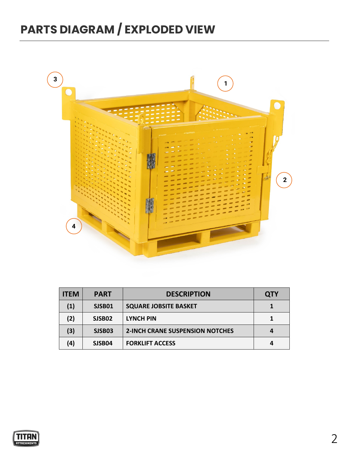## **PARTS DIAGRAM / EXPLODED VIEW**



| <b>ITEM</b> | <b>PART</b> | <b>DESCRIPTION</b>                     | <b>QTY</b> |
|-------------|-------------|----------------------------------------|------------|
| (1)         | SJSB01      | <b>SQUARE JOBSITE BASKET</b>           |            |
| (2)         | SJSB02      | <b>LYNCH PIN</b>                       |            |
| (3)         | SJSB03      | <b>2-INCH CRANE SUSPENSION NOTCHES</b> |            |
| (4)         | SJSB04      | <b>FORKLIFT ACCESS</b>                 |            |